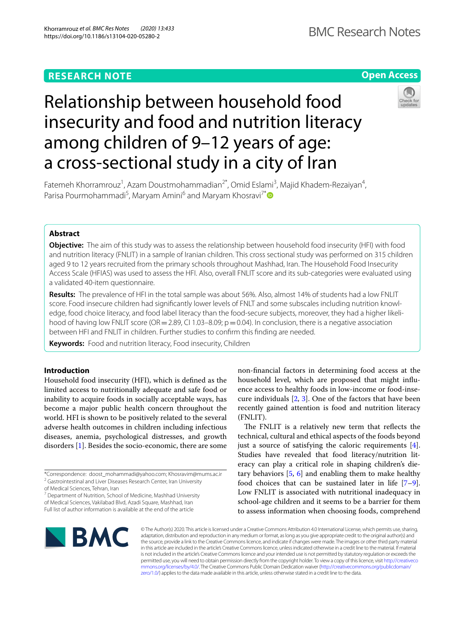# **RESEARCH NOTE**

# **Open Access**

# Relationship between household food insecurity and food and nutrition literacy among children of 9–12 years of age: a cross-sectional study in a city of Iran



Fatemeh Khorramrouz<sup>1</sup>, Azam Doustmohammadian<sup>2\*</sup>, Omid Eslami<sup>3</sup>, Majid Khadem-Rezaiyan<sup>4</sup>, Parisa Pourmohammadi<sup>5</sup>, Maryam Amini<sup>6</sup> and Maryam Khosravi<sup>7[\\*](http://orcid.org/0000-0001-9708-5466)</sup>

# **Abstract**

**Objective:** The aim of this study was to assess the relationship between household food insecurity (HFI) with food and nutrition literacy (FNLIT) in a sample of Iranian children. This cross sectional study was performed on 315 children aged 9 to 12 years recruited from the primary schools throughout Mashhad, Iran. The Household Food Insecurity Access Scale (HFIAS) was used to assess the HFI. Also, overall FNLIT score and its sub-categories were evaluated using a validated 40-item questionnaire.

**Results:** The prevalence of HFI in the total sample was about 56%. Also, almost 14% of students had a low FNLIT score. Food insecure children had significantly lower levels of FNLT and some subscales including nutrition knowledge, food choice literacy, and food label literacy than the food-secure subjects, moreover, they had a higher likelihood of having low FNLIT score (OR = 2.89, CI 1.03–8.09;  $p = 0.04$ ). In conclusion, there is a negative association between HFI and FNLIT in children. Further studies to confrm this fnding are needed.

**Keywords:** Food and nutrition literacy, Food insecurity, Children

# **Introduction**

Household food insecurity (HFI), which is defned as the limited access to nutritionally adequate and safe food or inability to acquire foods in socially acceptable ways, has become a major public health concern throughout the world. HFI is shown to be positively related to the several adverse health outcomes in children including infectious diseases, anemia, psychological distresses, and growth disorders [\[1\]](#page-5-0). Besides the socio-economic, there are some

\*Correspondence: doost\_mohammadi@yahoo.com; Khosravim@mums.ac.ir <sup>2</sup> Gastrointestinal and Liver Diseases Research Center, Iran University

of Medical Sciences, Tehran, Iran

<sup>7</sup> Department of Nutrition, School of Medicine, Mashhad University of Medical Sciences, Vakilabad Blvd, Azadi Square, Mashhad, Iran Full list of author information is available at the end of the article

non-fnancial factors in determining food access at the household level, which are proposed that might infuence access to healthy foods in low-income or food-insecure individuals [\[2](#page-5-1), [3](#page-5-2)]. One of the factors that have been recently gained attention is food and nutrition literacy (FNLIT).

The FNLIT is a relatively new term that reflects the technical, cultural and ethical aspects of the foods beyond just a source of satisfying the caloric requirements [\[4](#page-5-3)]. Studies have revealed that food literacy/nutrition literacy can play a critical role in shaping children's dietary behaviors [[5,](#page-5-4) [6](#page-5-5)] and enabling them to make healthy food choices that can be sustained later in life [\[7](#page-5-6)[–9](#page-5-7)]. Low FNLIT is associated with nutritional inadequacy in school-age children and it seems to be a barrier for them to assess information when choosing foods, comprehend



© The Author(s) 2020. This article is licensed under a Creative Commons Attribution 4.0 International License, which permits use, sharing, adaptation, distribution and reproduction in any medium or format, as long as you give appropriate credit to the original author(s) and the source, provide a link to the Creative Commons licence, and indicate if changes were made. The images or other third party material in this article are included in the article's Creative Commons licence, unless indicated otherwise in a credit line to the material. If material is not included in the article's Creative Commons licence and your intended use is not permitted by statutory regulation or exceeds the permitted use, you will need to obtain permission directly from the copyright holder. To view a copy of this licence, visit [http://creativeco](http://creativecommons.org/licenses/by/4.0/) [mmons.org/licenses/by/4.0/.](http://creativecommons.org/licenses/by/4.0/) The Creative Commons Public Domain Dedication waiver ([http://creativecommons.org/publicdomain/](http://creativecommons.org/publicdomain/zero/1.0/) [zero/1.0/\)](http://creativecommons.org/publicdomain/zero/1.0/) applies to the data made available in this article, unless otherwise stated in a credit line to the data.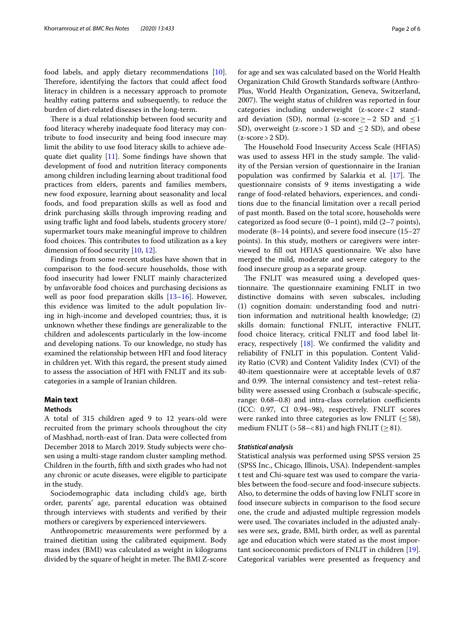food labels, and apply dietary recommendations [\[10](#page-5-8)]. Therefore, identifying the factors that could affect food literacy in children is a necessary approach to promote healthy eating patterns and subsequently, to reduce the burden of diet-related diseases in the long-term.

There is a dual relationship between food security and food literacy whereby inadequate food literacy may contribute to food insecurity and being food insecure may limit the ability to use food literacy skills to achieve adequate diet quality [[11\]](#page-5-9). Some fndings have shown that development of food and nutrition literacy components among children including learning about traditional food practices from elders, parents and families members, new food exposure, learning about seasonality and local foods, and food preparation skills as well as food and drink purchasing skills through improving reading and using traffic light and food labels, students grocery store/ supermarket tours make meaningful improve to children food choices. This contributes to food utilization as a key dimension of food security [\[10](#page-5-8), [12\]](#page-5-10).

Findings from some recent studies have shown that in comparison to the food-secure households, those with food insecurity had lower FNLIT mainly characterized by unfavorable food choices and purchasing decisions as well as poor food preparation skills [[13–](#page-5-11)[16](#page-5-12)]. However, this evidence was limited to the adult population living in high-income and developed countries; thus, it is unknown whether these fndings are generalizable to the children and adolescents particularly in the low-income and developing nations. To our knowledge, no study has examined the relationship between HFI and food literacy in children yet. With this regard, the present study aimed to assess the association of HFI with FNLIT and its subcategories in a sample of Iranian children.

# **Main text**

# **Methods**

A total of 315 children aged 9 to 12 years-old were recruited from the primary schools throughout the city of Mashhad, north-east of Iran. Data were collected from December 2018 to March 2019. Study subjects were chosen using a multi-stage random cluster sampling method. Children in the fourth, ffth and sixth grades who had not any chronic or acute diseases, were eligible to participate in the study.

Sociodemographic data including child's age, birth order, parents' age, parental education was obtained through interviews with students and verifed by their mothers or caregivers by experienced interviewers.

Anthropometric measurements were performed by a trained dietitian using the calibrated equipment. Body mass index (BMI) was calculated as weight in kilograms divided by the square of height in meter. The BMI Z-score for age and sex was calculated based on the World Health Organization Child Growth Standards software (Anthro-Plus, World Health Organization, Geneva, Switzerland, 2007). The weight status of children was reported in four categories including underweight (z-score<2 standard deviation (SD), normal (z-score  $\ge$  - 2 SD and  $\le$  1 SD), overweight (z-score > 1 SD and  $\leq$  2 SD), and obese  $(z-score > 2 SD)$ .

The Household Food Insecurity Access Scale (HFIAS) was used to assess HFI in the study sample. The validity of the Persian version of questionnaire in the Iranian population was confirmed by Salarkia et al.  $[17]$ . The questionnaire consists of 9 items investigating a wide range of food-related behaviors, experiences, and conditions due to the fnancial limitation over a recall period of past month. Based on the total score, households were categorized as food secure (0–1 point), mild (2–7 points), moderate (8–14 points), and severe food insecure (15–27 points). In this study, mothers or caregivers were interviewed to fll out HFIAS questionnaire. We also have merged the mild, moderate and severe category to the food insecure group as a separate group.

The FNLIT was measured using a developed questionnaire. The questionnaire examining FNLIT in two distinctive domains with seven subscales, including (1) cognition domain: understanding food and nutrition information and nutritional health knowledge; (2) skills domain: functional FNLIT, interactive FNLIT, food choice literacy, critical FNLIT and food label literacy, respectively [\[18](#page-5-14)]. We confrmed the validity and reliability of FNLIT in this population. Content Validity Ratio (CVR) and Content Validity Index (CVI) of the 40-item questionnaire were at acceptable levels of 0.87 and 0.99. The internal consistency and test-retest reliability were assessed using Cronbach  $\alpha$  (subscale-specific, range: 0.68-0.8) and intra-class correlation coefficients (ICC: 0.97, CI 0.94–98), respectively. FNLIT scores were ranked into three categories as low FNLIT  $(\leq 58)$ , medium FNLIT ( $> 58 - < 81$ ) and high FNLIT ( $\geq 81$ ).

## *Statistical analysis*

Statistical analysis was performed using SPSS version 25 (SPSS Inc., Chicago, Illinois, USA). Independent-samples t test and Chi-square test was used to compare the variables between the food-secure and food-insecure subjects. Also, to determine the odds of having low FNLIT score in food insecure subjects in comparison to the food secure one, the crude and adjusted multiple regression models were used. The covariates included in the adjusted analyses were sex, grade, BMI, birth order, as well as parental age and education which were stated as the most important socioeconomic predictors of FNLIT in children [\[19](#page-5-15)]. Categorical variables were presented as frequency and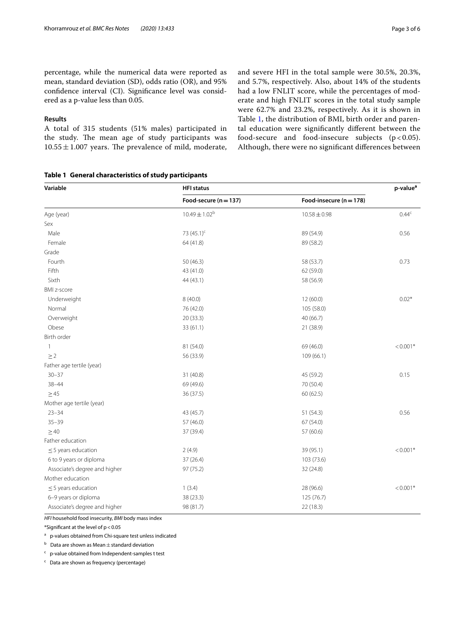percentage, while the numerical data were reported as mean, standard deviation (SD), odds ratio (OR), and 95% confdence interval (CI). Signifcance level was considered as a p-value less than 0.05.

## **Results**

A total of 315 students (51% males) participated in the study. The mean age of study participants was  $10.55 \pm 1.007$  years. The prevalence of mild, moderate, and severe HFI in the total sample were 30.5%, 20.3%, and 5.7%, respectively. Also, about 14% of the students had a low FNLIT score, while the percentages of moderate and high FNLIT scores in the total study sample were 62.7% and 23.2%, respectively. As it is shown in Table [1](#page-2-0), the distribution of BMI, birth order and parental education were signifcantly diferent between the food-secure and food-insecure subjects  $(p < 0.05)$ . Although, there were no signifcant diferences between

# <span id="page-2-0"></span>**Table 1 General characteristics of study participants**

| Variable                      | <b>HFI</b> status       |                         |                |
|-------------------------------|-------------------------|-------------------------|----------------|
|                               | Food-secure $(n = 137)$ | Food-insecure (n = 178) |                |
| Age (year)                    | $10.49 \pm 1.02^b$      | $10.58 \pm 0.98$        | $0.44^{\circ}$ |
| Sex                           |                         |                         |                |
| Male                          | 73 (45.1) <sup>c</sup>  | 89 (54.9)               | 0.56           |
| Female                        | 64 (41.8)               | 89 (58.2)               |                |
| Grade                         |                         |                         |                |
| Fourth                        | 50 (46.3)               | 58 (53.7)               | 0.73           |
| Fifth                         | 43 (41.0)               | 62 (59.0)               |                |
| Sixth                         | 44 (43.1)               | 58 (56.9)               |                |
| <b>BMI z-score</b>            |                         |                         |                |
| Underweight                   | 8(40.0)                 | 12(60.0)                | $0.02*$        |
| Normal                        | 76 (42.0)               | 105 (58.0)              |                |
| Overweight                    | 20 (33.3)               | 40 (66.7)               |                |
| Obese                         | 33(61.1)                | 21 (38.9)               |                |
| Birth order                   |                         |                         |                |
| 1                             | 81 (54.0)               | 69 (46.0)               | $< 0.001*$     |
| $\geq$ 2                      | 56 (33.9)               | 109(66.1)               |                |
| Father age tertile (year)     |                         |                         |                |
| $30 - 37$                     | 31 (40.8)               | 45 (59.2)               | 0.15           |
| $38 - 44$                     | 69 (49.6)               | 70 (50.4)               |                |
| $\geq 45$                     | 36 (37.5)               | 60(62.5)                |                |
| Mother age tertile (year)     |                         |                         |                |
| $23 - 34$                     | 43 (45.7)               | 51 (54.3)               | 0.56           |
| $35 - 39$                     | 57 (46.0)               | 67 (54.0)               |                |
| $\geq 40$                     | 37 (39.4)               | 57 (60.6)               |                |
| Father education              |                         |                         |                |
| $\leq$ 5 years education      | 2(4.9)                  | 39 (95.1)               | $< 0.001*$     |
| 6 to 9 years or diploma       | 37(26.4)                | 103 (73.6)              |                |
| Associate's degree and higher | 97 (75.2)               | 32 (24.8)               |                |
| Mother education              |                         |                         |                |
| $\leq$ 5 years education      | 1(3.4)                  | 28 (96.6)               | $< 0.001*$     |
| 6-9 years or diploma          | 38 (23.3)               | 125 (76.7)              |                |
| Associate's degree and higher | 98 (81.7)               | 22 (18.3)               |                |

*HFI* household food insecurity, *BMI* body mass index

\*Signifcant at the level of p<0.05

a p-values obtained from Chi-square test unless indicated

 $<sup>b</sup>$  Data are shown as Mean  $\pm$  standard deviation</sup>

c p-value obtained from Independent-samples t test

c Data are shown as frequency (percentage)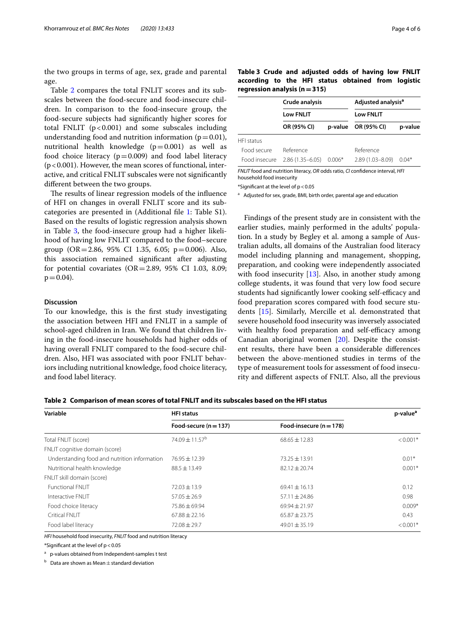the two groups in terms of age, sex, grade and parental age.

Table [2](#page-3-0) compares the total FNLIT scores and its subscales between the food-secure and food-insecure children. In comparison to the food-insecure group, the food-secure subjects had signifcantly higher scores for total FNLIT  $(p < 0.001)$  and some subscales including understanding food and nutrition information ( $p=0.01$ ), nutritional health knowledge  $(p=0.001)$  as well as food choice literacy  $(p=0.009)$  and food label literacy  $(p<0.001)$ . However, the mean scores of functional, interactive, and critical FNLIT subscales were not signifcantly diferent between the two groups.

The results of linear regression models of the influence of HFI on changes in overall FNLIT score and its subcategories are presented in (Additional fle [1:](#page-4-0) Table S1). Based on the results of logistic regression analysis shown in Table [3](#page-3-1), the food-insecure group had a higher likelihood of having low FNLIT compared to the food–secure group  $(OR = 2.86, 95\% \text{ CI } 1.35, 6.05; \text{p} = 0.006)$ . Also, this association remained signifcant after adjusting for potential covariates ( $OR = 2.89$ , 95% CI 1.03, 8.09;  $p = 0.04$ ).

# **Discussion**

To our knowledge, this is the frst study investigating the association between HFI and FNLIT in a sample of school-aged children in Iran. We found that children living in the food-insecure households had higher odds of having overall FNLIT compared to the food-secure children. Also, HFI was associated with poor FNLIT behaviors including nutritional knowledge, food choice literacy, and food label literacy.

<span id="page-3-1"></span>

|                   | Crude analysis<br><b>Low FNLIT</b> |          | Adjusted analysis <sup>a</sup><br><b>Low FNLIT</b> |         |  |
|-------------------|------------------------------------|----------|----------------------------------------------------|---------|--|
|                   |                                    |          |                                                    |         |  |
|                   | OR (95% CI)                        | p-value  | OR (95% CI)                                        | p-value |  |
| <b>HFI</b> status |                                    |          |                                                    |         |  |
| Food secure       | Reference                          |          | Reference                                          |         |  |
| Food insecure     | $2.86(1.35 - 6.05)$                | $0.006*$ | 2.89 (1.03-8.09)                                   | $0.04*$ |  |

*FNLIT* food and nutrition literacy, *OR* odds ratio, *CI* confdence interval, *HFI*  household food insecurity

\*Signifcant at the level of p<0.05

<sup>a</sup> Adjusted for sex, grade, BMI, birth order, parental age and education

Findings of the present study are in consistent with the earlier studies, mainly performed in the adults' population. In a study by Begley et al. among a sample of Australian adults, all domains of the Australian food literacy model including planning and management, shopping, preparation, and cooking were independently associated with food insecurity [[13](#page-5-11)]. Also, in another study among college students, it was found that very low food secure students had significantly lower cooking self-efficacy and food preparation scores compared with food secure students [[15](#page-5-16)]. Similarly, Mercille et al. demonstrated that severe household food insecurity was inversely associated with healthy food preparation and self-efficacy among Canadian aboriginal women [[20\]](#page-5-17). Despite the consistent results, there have been a considerable diferences between the above-mentioned studies in terms of the type of measurement tools for assessment of food insecurity and diferent aspects of FNLT. Also, all the previous

<span id="page-3-0"></span>

|  |  |  |  | Table 2 Comparison of mean scores of total FNLIT and its subscales based on the HFI status |  |  |
|--|--|--|--|--------------------------------------------------------------------------------------------|--|--|
|--|--|--|--|--------------------------------------------------------------------------------------------|--|--|

| Variable                                     | <b>HFI status</b>            |                           | p-value <sup>a</sup> |  |
|----------------------------------------------|------------------------------|---------------------------|----------------------|--|
|                                              | Food-secure $(n = 137)$      | Food-insecure $(n = 178)$ |                      |  |
| Total FNLIT (score)                          | $74.09 \pm 11.57^{\text{b}}$ | $68.65 \pm 12.83$         | $< 0.001*$           |  |
| FNLIT cognitive domain (score)               |                              |                           |                      |  |
| Understanding food and nutrition information | $76.95 \pm 12.39$            | $73.25 \pm 13.91$         | $0.01*$              |  |
| Nutritional health knowledge                 | $88.5 \pm 13.49$             | $82.12 \pm 20.74$         | $0.001*$             |  |
| FNLIT skill domain (score)                   |                              |                           |                      |  |
| <b>Functional FNI IT</b>                     | $72.03 \pm 13.9$             | $69.41 \pm 16.13$         | 0.12                 |  |
| Interactive FNLIT                            | $57.05 \pm 26.9$             | $57.11 \pm 24.86$         | 0.98                 |  |
| Food choice literacy                         | 75.86 ± 69.94                | $69.94 \pm 21.97$         | $0.009*$             |  |
| <b>Critical FNLIT</b>                        | $67.88 \pm 22.16$            | $65.87 \pm 23.75$         | 0.43                 |  |
| Food label literacy                          | $72.08 \pm 29.7$             | $49.01 \pm 35.19$         | $< 0.001*$           |  |

*HFI* household food insecurity, *FNLIT* food and nutrition literacy

\*Signifcant at the level of p<0.05

a p-values obtained from Independent-samples t test

 $<sup>b</sup>$  Data are shown as Mean  $\pm$  standard deviation</sup>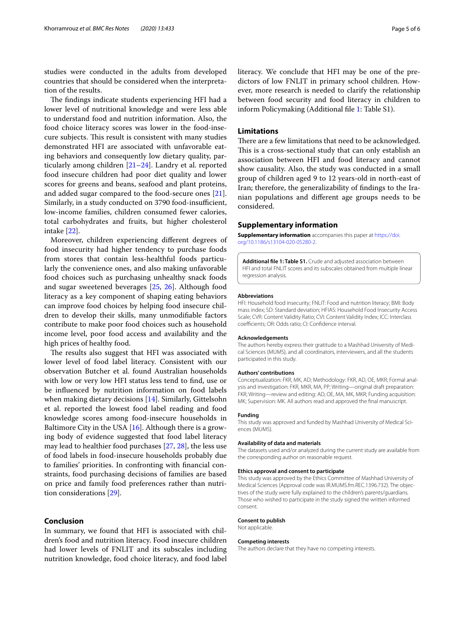studies were conducted in the adults from developed countries that should be considered when the interpretation of the results.

The findings indicate students experiencing HFI had a lower level of nutritional knowledge and were less able to understand food and nutrition information. Also, the food choice literacy scores was lower in the food-insecure subjects. This result is consistent with many studies demonstrated HFI are associated with unfavorable eating behaviors and consequently low dietary quality, particularly among children [[21](#page-5-18)[–24](#page-5-19)]. Landry et al. reported food insecure children had poor diet quality and lower scores for greens and beans, seafood and plant proteins, and added sugar compared to the food-secure ones [\[21](#page-5-18)]. Similarly, in a study conducted on 3790 food-insufficient, low-income families, children consumed fewer calories, total carbohydrates and fruits, but higher cholesterol intake [\[22](#page-5-20)].

Moreover, children experiencing diferent degrees of food insecurity had higher tendency to purchase foods from stores that contain less-healthful foods particularly the convenience ones, and also making unfavorable food choices such as purchasing unhealthy snack foods and sugar sweetened beverages [[25,](#page-5-21) [26](#page-5-22)]. Although food literacy as a key component of shaping eating behaviors can improve food choices by helping food insecure children to develop their skills, many unmodifable factors contribute to make poor food choices such as household income level, poor food access and availability and the high prices of healthy food.

The results also suggest that HFI was associated with lower level of food label literacy. Consistent with our observation Butcher et al. found Australian households with low or very low HFI status less tend to fnd, use or be infuenced by nutrition information on food labels when making dietary decisions [\[14\]](#page-5-23). Similarly, Gittelsohn et al. reported the lowest food label reading and food knowledge scores among food-insecure households in Baltimore City in the USA  $[16]$  $[16]$ . Although there is a growing body of evidence suggested that food label literacy may lead to healthier food purchases [\[27](#page-5-24), [28\]](#page-5-25), the less use of food labels in food-insecure households probably due to families' priorities. In confronting with fnancial constraints, food purchasing decisions of families are based on price and family food preferences rather than nutrition considerations [[29](#page-5-26)].

# **Conclusion**

In summary, we found that HFI is associated with children's food and nutrition literacy. Food insecure children had lower levels of FNLIT and its subscales including nutrition knowledge, food choice literacy, and food label

literacy. We conclude that HFI may be one of the predictors of low FNLIT in primary school children. However, more research is needed to clarify the relationship between food security and food literacy in children to inform Policymaking (Additional fle [1:](#page-4-0) Table S1).

# **Limitations**

There are a few limitations that need to be acknowledged. This is a cross-sectional study that can only establish an association between HFI and food literacy and cannot show causality. Also, the study was conducted in a small group of children aged 9 to 12 years-old in north-east of Iran; therefore, the generalizability of fndings to the Iranian populations and diferent age groups needs to be considered.

## **Supplementary information**

**Supplementary information** accompanies this paper at [https://doi.](https://doi.org/10.1186/s13104-020-05280-2) [org/10.1186/s13104-020-05280-2](https://doi.org/10.1186/s13104-020-05280-2).

<span id="page-4-0"></span>**Additional fle 1: Table S1.** Crude and adjusted association between HFI and total FNLIT scores and its subscales obtained from multiple linear regression analysis.

#### **Abbreviations**

HFI: Household food insecurity; FNLIT: Food and nutrition literacy; BMI: Body mass index; SD: Standard deviation; HFIAS: Household Food Insecurity Access Scale; CVR: Content Validity Ratio; CVI: Content Validity Index; ICC: Interclass coefficients; OR: Odds ratio; CI: Confidence interval.

#### **Acknowledgements**

The authors hereby express their gratitude to a Mashhad University of Medical Sciences (MUMS), and all coordinators, interviewers, and all the students participated in this study.

#### **Authors' contributions**

Conceptualization: FKR, MK, AD; Methodology: FKR, AD, OE, MKR; Formal analysis and investigation: FKR, MKR, MA, PP; Writing—original draft preparation: FKR; Writing—review and editing: AD, OE, MA, MK, MKR; Funding acquisition: MK; Supervision: MK. All authors read and approved the fnal manuscript.

## **Funding**

This study was approved and funded by Mashhad University of Medical Sciences (MUMS).

#### **Availability of data and materials**

The datasets used and/or analyzed during the current study are available from the corresponding author on reasonable request.

#### **Ethics approval and consent to participate**

This study was approved by the Ethics Committee of Mashhad University of Medical Sciences (Approval code was IR.MUMS.fm.REC.1396.732). The objectives of the study were fully explained to the children's parents/guardians. Those who wished to participate in the study signed the written informed consent.

#### **Consent to publish**

Not applicable.

#### **Competing interests**

The authors declare that they have no competing interests.